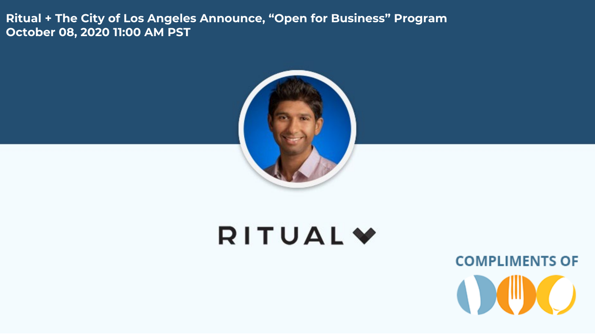**Ritual + The City of Los Angeles Announce, "Open for Business" Program October 08, 2020 11:00 AM PST**



# **RITUAL**

**COMPLIMENTS OF**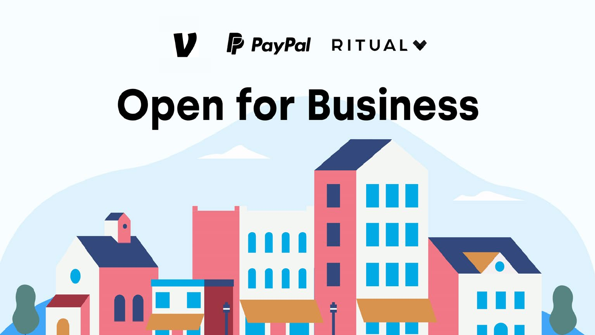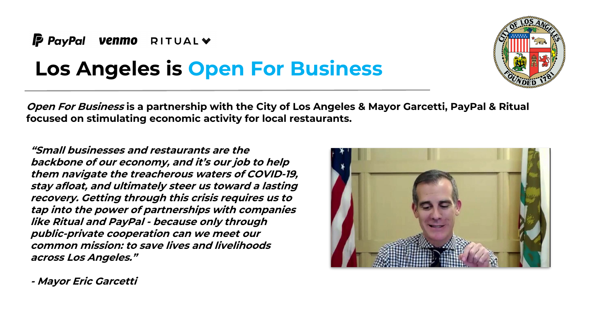

### **Los Angeles is Open For Business**

**Open For Business is a partnership with the City of Los Angeles & Mayor Garcetti, PayPal & Ritual focused on stimulating economic activity for local restaurants.** 

**"Small businesses and restaurants are the backbone of our economy, and it's our job to help them navigate the treacherous waters of COVID-19, stay afloat, and ultimately steer us toward a lasting recovery. Getting through this crisis requires us to tap into the power of partnerships with companies like Ritual and PayPal - because only through public-private cooperation can we meet our common mission: to save lives and livelihoods across Los Angeles."**



**- Mayor Eric Garcetti** 

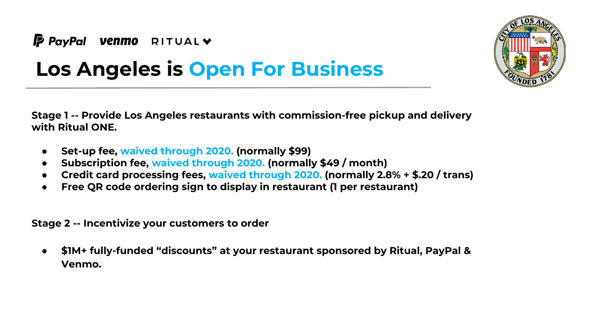



## **Los Angeles is Open For Business**

**Stage 1 -- Provide Los Angeles restaurants with commission-free pickup and delivery with Ritual ONE.** 

- **Set-up fee, waived through 2020. (normally \$99)**
- **Subscription fee, waived through 2020. (normally \$49 / month)**
- **Credit card processing fees, waived through 2020. (normally 2.8% + \$.20 / trans)**
- **Free QR code ordering sign to display in restaurant (1 per restaurant)**

**Stage 2 -- Incentivize your customers to order**

● **\$1M+ fully-funded "discounts" at your restaurant sponsored by Ritual, PayPal & Venmo.**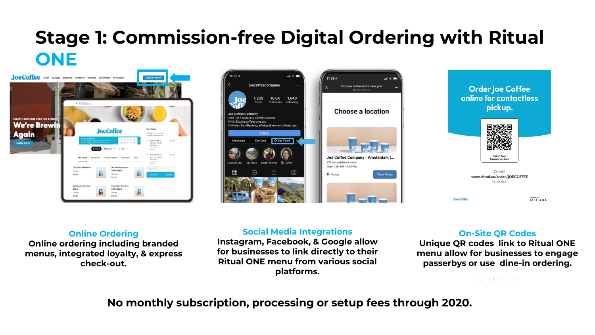### **Stage 1: Commission-free Digital Ordering with Ritual ONE**







#### **Online Ordering**

**Online ordering including branded menus, integrated loyalty, & express check-out.**

#### **Social Media Integrations**

**Instagram, Facebook, & Google allow for businesses to link directly to their Ritual ONE menu from various social platforms.**

#### **On-Site QR Codes**

**Unique QR codes link to Ritual ONE menu allow for businesses to engage passerbys or use dine-in ordering.**

RITUALY

**No monthly subscription, processing or setup fees through 2020.**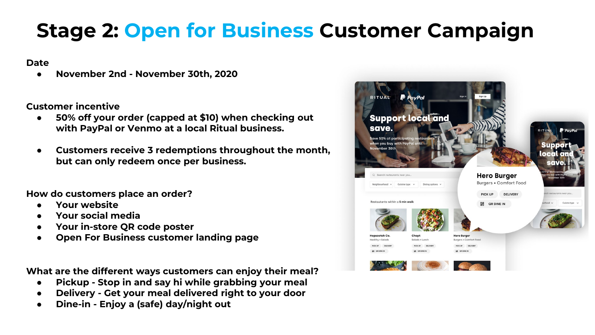## **Stage 2: Open for Business Customer Campaign**

**Date**

● **November 2nd - November 30th, 2020**

**Customer incentive**

- **50% off your order (capped at \$10) when checking out with PayPal or Venmo at a local Ritual business.**
- **Customers receive 3 redemptions throughout the month, but can only redeem once per business.**

**How do customers place an order?**

- **Your website**
- **Your social media**
- **Your in-store QR code poster**
- **Open For Business customer landing page**

**What are the different ways customers can enjoy their meal?**

- **Pickup Stop in and say hi while grabbing your meal**
- **Delivery - Get your meal delivered right to your door**
- **Dine-in - Enjoy a (safe) day/night out**

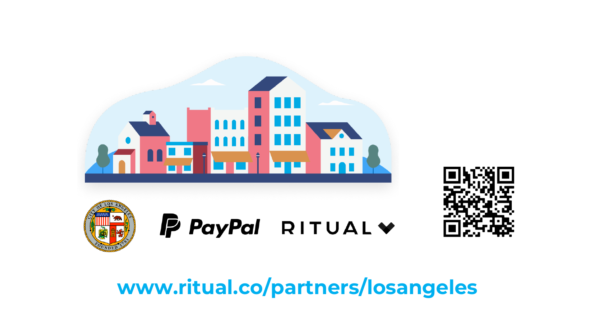



**www.ritual.co/partners/losangeles**